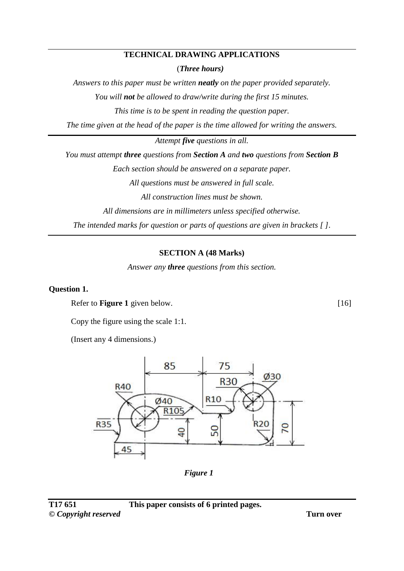#### **TECHNICAL DRAWING APPLICATIONS**

(*Three hours)*

*Answers to this paper must be written neatly on the paper provided separately. You will not be allowed to draw/write during the first 15 minutes. This time is to be spent in reading the question paper.*

*The time given at the head of the paper is the time allowed for writing the answers.*

*Attempt five questions in all.*

*You must attempt three questions from Section A and two questions from Section B* 

*Each section should be answered on a separate paper.*

*All questions must be answered in full scale.*

*All construction lines must be shown.*

*All dimensions are in millimeters unless specified otherwise.*

*The intended marks for question or parts of questions are given in brackets [ ].*

### **SECTION A (48 Marks)**

*Answer any three questions from this section.*

#### **Question 1.**

Refer to **Figure 1** given below.

Copy the figure using the scale 1:1.

(Insert any 4 dimensions.)



*Figure 1*

[16]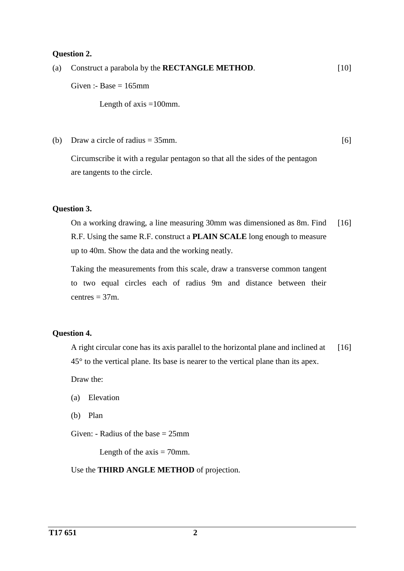#### **Question 2.**

(a) Construct a parabola by the **RECTANGLE METHOD**. Given :- Base  $= 165$ mm Length of axis  $=100$ mm. [10]

(b) Draw a circle of radius  $= 35$ mm.

[6]

Circumscribe it with a regular pentagon so that all the sides of the pentagon are tangents to the circle.

### **Question 3.**

On a working drawing, a line measuring 30mm was dimensioned as 8m. Find R.F. Using the same R.F. construct a **PLAIN SCALE** long enough to measure up to 40m. Show the data and the working neatly. [16]

Taking the measurements from this scale, draw a transverse common tangent to two equal circles each of radius 9m and distance between their centres  $= 37$ m.

### **Question 4.**

A right circular cone has its axis parallel to the horizontal plane and inclined at 45° to the vertical plane. Its base is nearer to the vertical plane than its apex. [16]

Draw the:

- (a) Elevation
- (b) Plan

Given: - Radius of the base = 25mm

Length of the  $axis = 70$ mm.

Use the **THIRD ANGLE METHOD** of projection.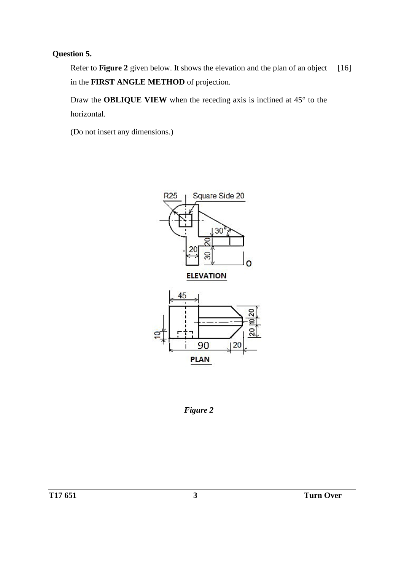# **Question 5.**

Refer to **Figure 2** given below. It shows the elevation and the plan of an object in the **FIRST ANGLE METHOD** of projection. [16]

Draw the **OBLIQUE VIEW** when the receding axis is inclined at 45° to the horizontal.

(Do not insert any dimensions.)



*Figure 2*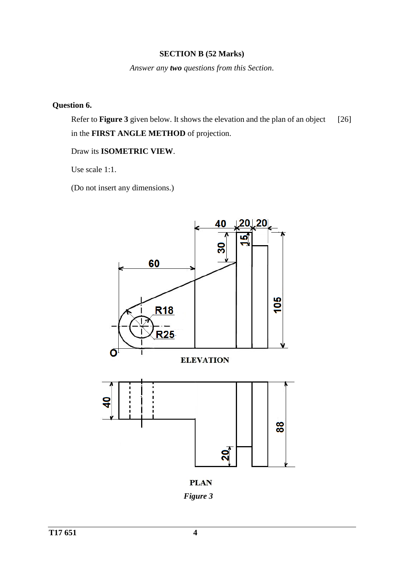#### **SECTION B (52 Marks)**

*Answer any two questions from this Section*.

# **Question 6.**

Refer to **Figure 3** given below. It shows the elevation and the plan of an object in the **FIRST ANGLE METHOD** of projection. [26]

#### Draw its **ISOMETRIC VIEW**.

Use scale 1:1.

(Do not insert any dimensions.)



**PLAN** *Figure 3*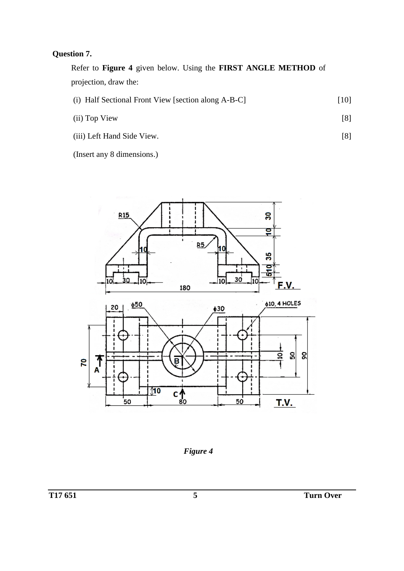# **Question 7.**

Refer to **Figure 4** given below. Using the **FIRST ANGLE METHOD** of projection, draw the:

| (i) Half Sectional Front View [section along A-B-C] | $[10]$ |
|-----------------------------------------------------|--------|
|                                                     |        |

| (ii) Top View |  |  |
|---------------|--|--|
|               |  |  |

(iii) Left Hand Side View. [8]

(Insert any 8 dimensions.)



*Figure 4*

[8]